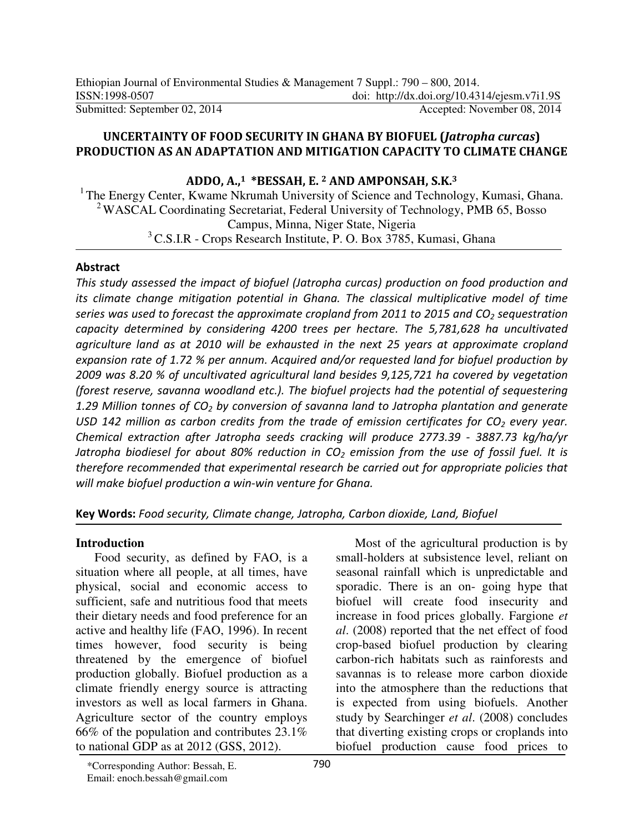### **UNCERTAINTY OF FOOD SECURITY IN GHANA BY BIOFUEL (***Jatropha curcas***) PRODUCTION AS AN ADAPTATION AND MITIGATION CAPACITY TO CLIMATE CHANGE**

**ADDO, A.,1 \*BESSAH, E. 2 AND AMPONSAH, S.K.<sup>3</sup>**

<sup>1</sup> The Energy Center, Kwame Nkrumah University of Science and Technology, Kumasi, Ghana. <sup>2</sup>WASCAL Coordinating Secretariat, Federal University of Technology, PMB 65, Bosso Campus, Minna, Niger State, Nigeria <sup>3</sup> C.S.I.R - Crops Research Institute, P. O. Box 3785, Kumasi, Ghana

### **Abstract**

*This study assessed the impact of biofuel (Jatropha curcas) production on food production and its climate change mitigation potential in Ghana. The classical multiplicative model of time series was used to forecast the approximate cropland from 2011 to 2015 and CO2 sequestration capacity determined by considering 4200 trees per hectare. The 5,781,628 ha uncultivated agriculture land as at 2010 will be exhausted in the next 25 years at approximate cropland expansion rate of 1.72 % per annum. Acquired and/or requested land for biofuel production by 2009 was 8.20 % of uncultivated agricultural land besides 9,125,721 ha covered by vegetation (forest reserve, savanna woodland etc.). The biofuel projects had the potential of sequestering 1.29 Million tonnes of CO2 by conversion of savanna land to Jatropha plantation and generate USD 142 million as carbon credits from the trade of emission certificates for CO2 every year. Chemical extraction after Jatropha seeds cracking will produce 2773.39 - 3887.73 kg/ha/yr Jatropha biodiesel for about 80% reduction in CO2 emission from the use of fossil fuel. It is therefore recommended that experimental research be carried out for appropriate policies that will make biofuel production a win-win venture for Ghana.* 

**Key Words:** *Food security, Climate change, Jatropha, Carbon dioxide, Land, Biofuel* 

## **Introduction**

Food security, as defined by FAO, is a situation where all people, at all times, have physical, social and economic access to sufficient, safe and nutritious food that meets their dietary needs and food preference for an active and healthy life (FAO, 1996). In recent times however, food security is being threatened by the emergence of biofuel production globally. Biofuel production as a climate friendly energy source is attracting investors as well as local farmers in Ghana. Agriculture sector of the country employs 66% of the population and contributes 23.1% to national GDP as at 2012 (GSS, 2012).

Most of the agricultural production is by small-holders at subsistence level, reliant on seasonal rainfall which is unpredictable and sporadic. There is an on- going hype that biofuel will create food insecurity and increase in food prices globally. Fargione *et al*. (2008) reported that the net effect of food crop-based biofuel production by clearing carbon-rich habitats such as rainforests and savannas is to release more carbon dioxide into the atmosphere than the reductions that is expected from using biofuels. Another study by Searchinger *et al*. (2008) concludes that diverting existing crops or croplands into biofuel production cause food prices to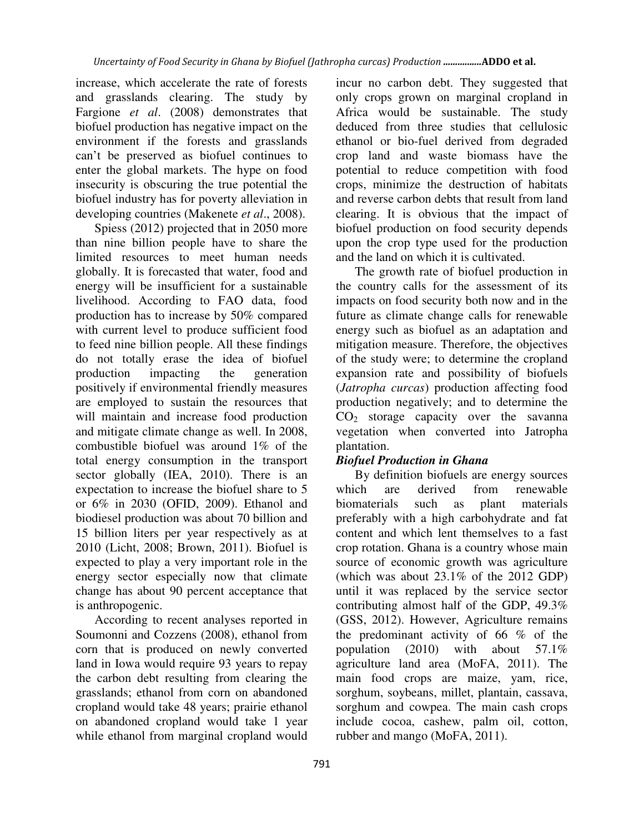increase, which accelerate the rate of forests and grasslands clearing. The study by Fargione *et al*. (2008) demonstrates that biofuel production has negative impact on the environment if the forests and grasslands can't be preserved as biofuel continues to enter the global markets. The hype on food insecurity is obscuring the true potential the biofuel industry has for poverty alleviation in developing countries (Makenete *et al*., 2008).

Spiess (2012) projected that in 2050 more than nine billion people have to share the limited resources to meet human needs globally. It is forecasted that water, food and energy will be insufficient for a sustainable livelihood. According to FAO data, food production has to increase by 50% compared with current level to produce sufficient food to feed nine billion people. All these findings do not totally erase the idea of biofuel production impacting the generation positively if environmental friendly measures are employed to sustain the resources that will maintain and increase food production and mitigate climate change as well. In 2008, combustible biofuel was around 1% of the total energy consumption in the transport sector globally (IEA, 2010). There is an expectation to increase the biofuel share to 5 or 6% in 2030 (OFID, 2009). Ethanol and biodiesel production was about 70 billion and 15 billion liters per year respectively as at 2010 (Licht, 2008; Brown, 2011). Biofuel is expected to play a very important role in the energy sector especially now that climate change has about 90 percent acceptance that is anthropogenic.

According to recent analyses reported in Soumonni and Cozzens (2008), ethanol from corn that is produced on newly converted land in Iowa would require 93 years to repay the carbon debt resulting from clearing the grasslands; ethanol from corn on abandoned cropland would take 48 years; prairie ethanol on abandoned cropland would take 1 year while ethanol from marginal cropland would

incur no carbon debt. They suggested that only crops grown on marginal cropland in Africa would be sustainable. The study deduced from three studies that cellulosic ethanol or bio-fuel derived from degraded crop land and waste biomass have the potential to reduce competition with food crops, minimize the destruction of habitats and reverse carbon debts that result from land clearing. It is obvious that the impact of biofuel production on food security depends upon the crop type used for the production and the land on which it is cultivated.

The growth rate of biofuel production in the country calls for the assessment of its impacts on food security both now and in the future as climate change calls for renewable energy such as biofuel as an adaptation and mitigation measure. Therefore, the objectives of the study were; to determine the cropland expansion rate and possibility of biofuels (*Jatropha curcas*) production affecting food production negatively; and to determine the CO2 storage capacity over the savanna vegetation when converted into Jatropha plantation.

# *Biofuel Production in Ghana*

By definition biofuels are energy sources which are derived from renewable biomaterials such as plant materials preferably with a high carbohydrate and fat content and which lent themselves to a fast crop rotation. Ghana is a country whose main source of economic growth was agriculture (which was about 23.1% of the 2012 GDP) until it was replaced by the service sector contributing almost half of the GDP, 49.3% (GSS, 2012). However, Agriculture remains the predominant activity of 66 % of the population (2010) with about 57.1% agriculture land area (MoFA, 2011). The main food crops are maize, yam, rice, sorghum, soybeans, millet, plantain, cassava, sorghum and cowpea. The main cash crops include cocoa, cashew, palm oil, cotton, rubber and mango (MoFA, 2011).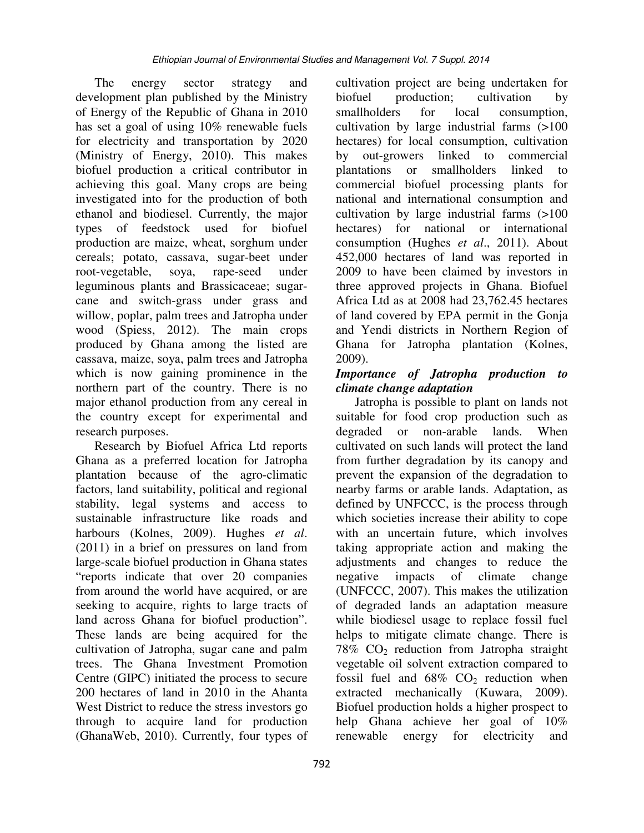The energy sector strategy and development plan published by the Ministry of Energy of the Republic of Ghana in 2010 has set a goal of using 10% renewable fuels for electricity and transportation by 2020 (Ministry of Energy, 2010). This makes biofuel production a critical contributor in achieving this goal. Many crops are being investigated into for the production of both ethanol and biodiesel. Currently, the major types of feedstock used for biofuel production are maize, wheat, sorghum under cereals; potato, cassava, sugar-beet under root-vegetable, soya, rape-seed under leguminous plants and Brassicaceae; sugarcane and switch-grass under grass and willow, poplar, palm trees and Jatropha under wood (Spiess, 2012). The main crops produced by Ghana among the listed are cassava, maize, soya, palm trees and Jatropha which is now gaining prominence in the northern part of the country. There is no major ethanol production from any cereal in the country except for experimental and research purposes.

Research by Biofuel Africa Ltd reports Ghana as a preferred location for Jatropha plantation because of the agro-climatic factors, land suitability, political and regional stability, legal systems and access to sustainable infrastructure like roads and harbours (Kolnes, 2009). Hughes *et al*. (2011) in a brief on pressures on land from large-scale biofuel production in Ghana states "reports indicate that over 20 companies from around the world have acquired, or are seeking to acquire, rights to large tracts of land across Ghana for biofuel production". These lands are being acquired for the cultivation of Jatropha, sugar cane and palm trees. The Ghana Investment Promotion Centre (GIPC) initiated the process to secure 200 hectares of land in 2010 in the Ahanta West District to reduce the stress investors go through to acquire land for production (GhanaWeb, 2010). Currently, four types of cultivation project are being undertaken for biofuel production; cultivation by smallholders for local consumption, cultivation by large industrial farms (>100 hectares) for local consumption, cultivation by out-growers linked to commercial plantations or smallholders linked to commercial biofuel processing plants for national and international consumption and cultivation by large industrial farms (>100 hectares) for national or international consumption (Hughes *et al*., 2011). About 452,000 hectares of land was reported in 2009 to have been claimed by investors in three approved projects in Ghana. Biofuel Africa Ltd as at 2008 had 23,762.45 hectares of land covered by EPA permit in the Gonja and Yendi districts in Northern Region of Ghana for Jatropha plantation (Kolnes, 2009).

# *Importance of Jatropha production to climate change adaptation*

Jatropha is possible to plant on lands not suitable for food crop production such as degraded or non-arable lands. When cultivated on such lands will protect the land from further degradation by its canopy and prevent the expansion of the degradation to nearby farms or arable lands. Adaptation, as defined by UNFCCC, is the process through which societies increase their ability to cope with an uncertain future, which involves taking appropriate action and making the adjustments and changes to reduce the negative impacts of climate change (UNFCCC, 2007). This makes the utilization of degraded lands an adaptation measure while biodiesel usage to replace fossil fuel helps to mitigate climate change. There is  $78\%$  CO<sub>2</sub> reduction from Jatropha straight vegetable oil solvent extraction compared to fossil fuel and  $68\%$  CO<sub>2</sub> reduction when extracted mechanically (Kuwara, 2009). Biofuel production holds a higher prospect to help Ghana achieve her goal of 10% renewable energy for electricity and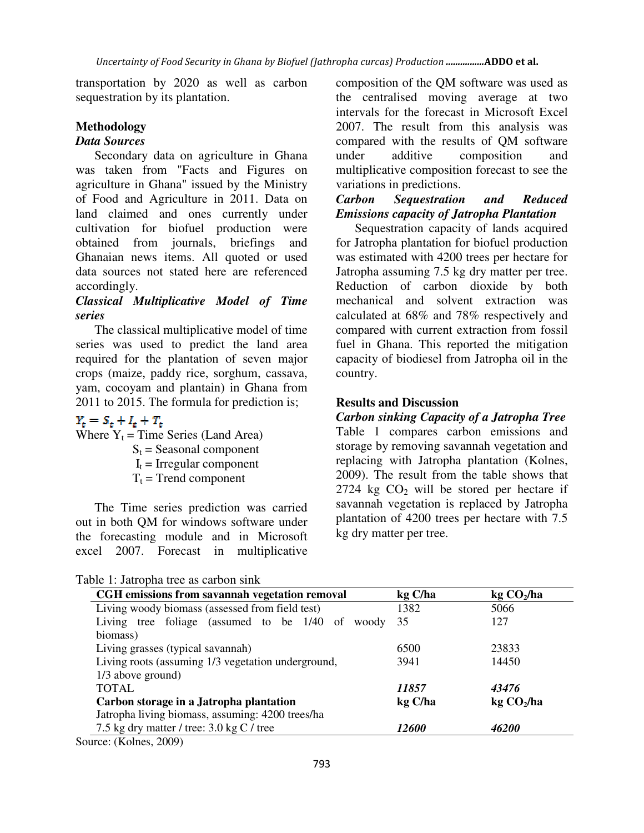transportation by 2020 as well as carbon sequestration by its plantation.

### **Methodology**

### *Data Sources*

Secondary data on agriculture in Ghana was taken from "Facts and Figures on agriculture in Ghana" issued by the Ministry of Food and Agriculture in 2011. Data on land claimed and ones currently under cultivation for biofuel production were obtained from journals, briefings and Ghanaian news items. All quoted or used data sources not stated here are referenced accordingly.

## *Classical Multiplicative Model of Time series*

The classical multiplicative model of time series was used to predict the land area required for the plantation of seven major crops (maize, paddy rice, sorghum, cassava, yam, cocoyam and plantain) in Ghana from 2011 to 2015. The formula for prediction is;

# $Y_t = S_t + I_t + T_t$

Where  $Y_t$  = Time Series (Land Area)

 $S_t$  = Seasonal component

- $I_t$  = Irregular component
- $T_t$  = Trend component

The Time series prediction was carried out in both QM for windows software under the forecasting module and in Microsoft excel 2007. Forecast in multiplicative

Table 1: Jatropha tree as carbon sink

composition of the QM software was used as the centralised moving average at two intervals for the forecast in Microsoft Excel 2007. The result from this analysis was compared with the results of QM software under additive composition and multiplicative composition forecast to see the variations in predictions.

## *Carbon Sequestration and Reduced Emissions capacity of Jatropha Plantation*

Sequestration capacity of lands acquired for Jatropha plantation for biofuel production was estimated with 4200 trees per hectare for Jatropha assuming 7.5 kg dry matter per tree. Reduction of carbon dioxide by both mechanical and solvent extraction was calculated at 68% and 78% respectively and compared with current extraction from fossil fuel in Ghana. This reported the mitigation capacity of biodiesel from Jatropha oil in the country.

#### **Results and Discussion**

*Carbon sinking Capacity of a Jatropha Tree*  Table 1 compares carbon emissions and storage by removing savannah vegetation and replacing with Jatropha plantation (Kolnes, 2009). The result from the table shows that 2724 kg  $CO<sub>2</sub>$  will be stored per hectare if savannah vegetation is replaced by Jatropha plantation of 4200 trees per hectare with 7.5 kg dry matter per tree.

| CGH emissions from savannah vegetation removal      | kg C/ha<br>1382 | kg CO <sub>2</sub> /ha<br>5066 |
|-----------------------------------------------------|-----------------|--------------------------------|
| Living woody biomass (assessed from field test)     |                 |                                |
| Living tree foliage (assumed to be 1/40 of<br>woody | 35              | 127                            |
| biomass)                                            |                 |                                |
| Living grasses (typical savannah)                   | 6500            | 23833                          |
| Living roots (assuming 1/3 vegetation underground,  | 3941            | 14450                          |
| $1/3$ above ground)                                 |                 |                                |
| <b>TOTAL</b>                                        | 11857           | 43476                          |
| Carbon storage in a Jatropha plantation             | kg C/ha         | kg CO <sub>2</sub> /ha         |
| Jatropha living biomass, assuming: 4200 trees/ha    |                 |                                |
| 7.5 kg dry matter / tree: $3.0 \text{ kg C}$ / tree | <i>12600</i>    | 46200                          |

Source: (Kolnes, 2009)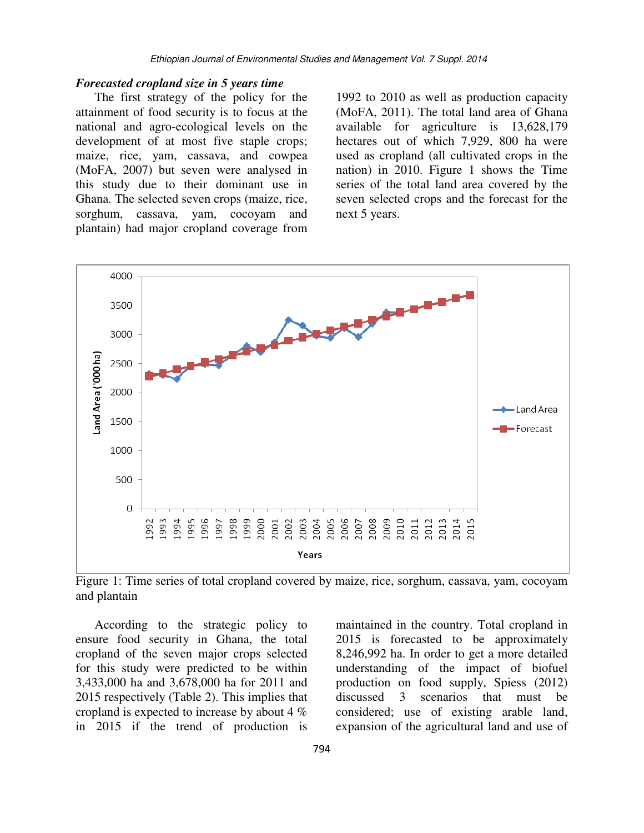### *Forecasted cropland size in 5 years time*

The first strategy of the policy for the attainment of food security is to focus at the national and agro-ecological levels on the development of at most five staple crops; maize, rice, yam, cassava, and cowpea (MoFA, 2007) but seven were analysed in this study due to their dominant use in Ghana. The selected seven crops (maize, rice, sorghum, cassava, yam, cocoyam and plantain) had major cropland coverage from

1992 to 2010 as well as production capacity (MoFA, 2011). The total land area of Ghana available for agriculture is 13,628,179 hectares out of which 7,929, 800 ha were used as cropland (all cultivated crops in the nation) in 2010. Figure 1 shows the Time series of the total land area covered by the seven selected crops and the forecast for the next 5 years.



Figure 1: Time series of total cropland covered by maize, rice, sorghum, cassava, yam, cocoyam and plantain

According to the strategic policy to ensure food security in Ghana, the total cropland of the seven major crops selected for this study were predicted to be within 3,433,000 ha and 3,678,000 ha for 2011 and 2015 respectively (Table 2). This implies that cropland is expected to increase by about 4 % in 2015 if the trend of production is maintained in the country. Total cropland in 2015 is forecasted to be approximately 8,246,992 ha. In order to get a more detailed understanding of the impact of biofuel production on food supply, Spiess (2012) discussed 3 scenarios that must be considered; use of existing arable land, expansion of the agricultural land and use of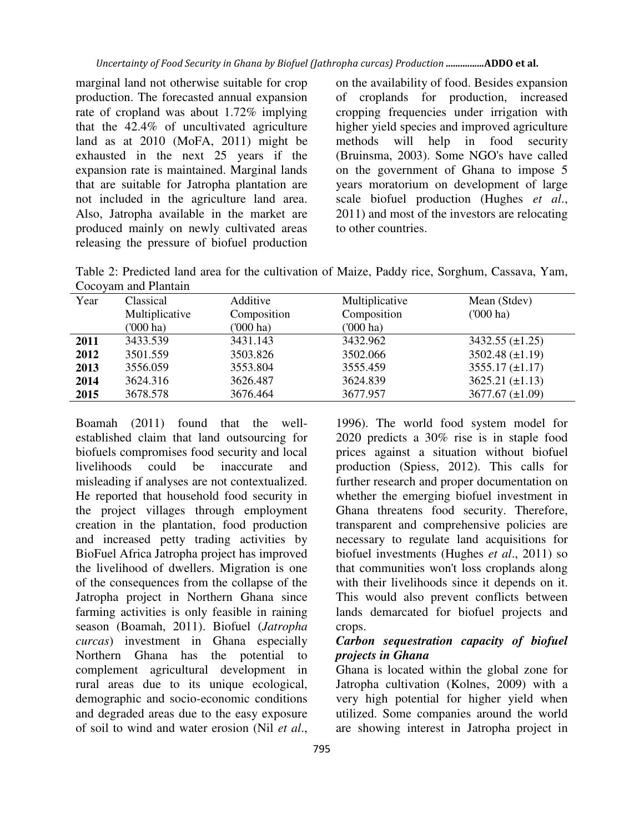marginal land not otherwise suitable for crop production. The forecasted annual expansion rate of cropland was about 1.72% implying that the 42.4% of uncultivated agriculture land as at 2010 (MoFA, 2011) might be exhausted in the next 25 years if the expansion rate is maintained. Marginal lands that are suitable for Jatropha plantation are not included in the agriculture land area. Also, Jatropha available in the market are produced mainly on newly cultivated areas releasing the pressure of biofuel production on the availability of food. Besides expansion of croplands for production, increased cropping frequencies under irrigation with higher yield species and improved agriculture methods will help in food security (Bruinsma, 2003). Some NGO's have called on the government of Ghana to impose 5 years moratorium on development of large scale biofuel production (Hughes *et al*., 2011) and most of the investors are relocating to other countries.

Table 2: Predicted land area for the cultivation of Maize, Paddy rice, Sorghum, Cassava, Yam, Cocoyam and Plantain

| Year | Classical      | Additive    | Multiplicative | Mean (Stdev)           |
|------|----------------|-------------|----------------|------------------------|
|      | Multiplicative | Composition | Composition    | $(000)$ ha)            |
|      | ('000 ha)      | $(000)$ ha) | $(000)$ ha)    |                        |
| 2011 | 3433.539       | 3431.143    | 3432.962       | $3432.55 \ (\pm 1.25)$ |
| 2012 | 3501.559       | 3503.826    | 3502.066       | $3502.48 (\pm 1.19)$   |
| 2013 | 3556.059       | 3553.804    | 3555.459       | $3555.17 \ (\pm 1.17)$ |
| 2014 | 3624.316       | 3626.487    | 3624.839       | $3625.21 (\pm 1.13)$   |
| 2015 | 3678.578       | 3676.464    | 3677.957       | 3677.67 $(\pm 1.09)$   |

Boamah (2011) found that the wellestablished claim that land outsourcing for biofuels compromises food security and local livelihoods could be inaccurate and misleading if analyses are not contextualized. He reported that household food security in the project villages through employment creation in the plantation, food production and increased petty trading activities by BioFuel Africa Jatropha project has improved the livelihood of dwellers. Migration is one of the consequences from the collapse of the Jatropha project in Northern Ghana since farming activities is only feasible in raining season (Boamah, 2011). Biofuel (*Jatropha curcas*) investment in Ghana especially Northern Ghana has the potential to complement agricultural development in rural areas due to its unique ecological, demographic and socio-economic conditions and degraded areas due to the easy exposure of soil to wind and water erosion (Nil *et al*.,

2020 predicts a 30% rise is in staple food prices against a situation without biofuel production (Spiess, 2012). This calls for further research and proper documentation on whether the emerging biofuel investment in Ghana threatens food security. Therefore, transparent and comprehensive policies are necessary to regulate land acquisitions for biofuel investments (Hughes *et al*., 2011) so that communities won't loss croplands along with their livelihoods since it depends on it. This would also prevent conflicts between lands demarcated for biofuel projects and crops. *Carbon sequestration capacity of biofuel projects in Ghana* 

1996). The world food system model for

Ghana is located within the global zone for Jatropha cultivation (Kolnes, 2009) with a very high potential for higher yield when utilized. Some companies around the world are showing interest in Jatropha project in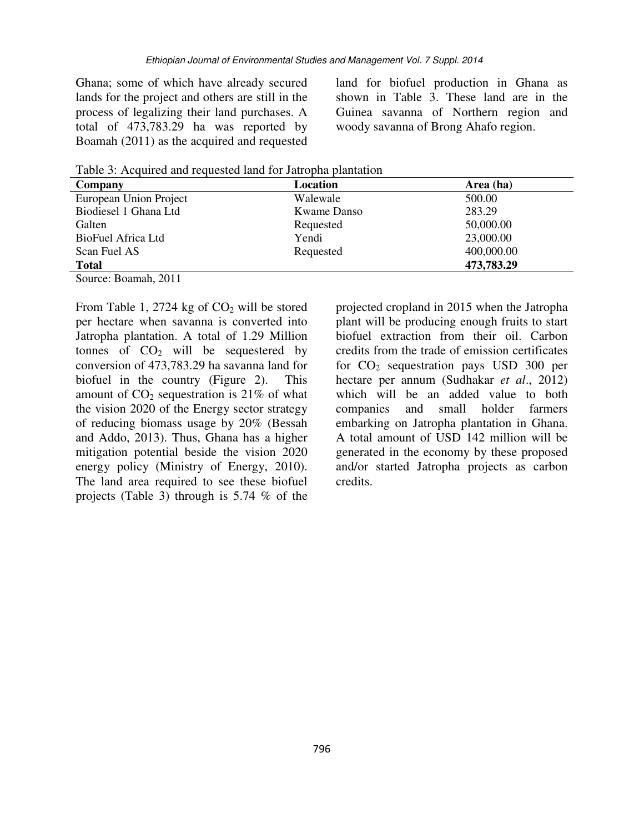Ghana; some of which have already secured lands for the project and others are still in the process of legalizing their land purchases. A total of 473,783.29 ha was reported by Boamah (2011) as the acquired and requested land for biofuel production in Ghana as shown in Table 3. These land are in the Guinea savanna of Northern region and woody savanna of Brong Ahafo region.

Table 3: Acquired and requested land for Jatropha plantation

| Company                                                | Location    | Area (ha)  |
|--------------------------------------------------------|-------------|------------|
| European Union Project                                 | Walewale    | 500.00     |
| Biodiesel 1 Ghana Ltd                                  | Kwame Danso | 283.29     |
| Galten                                                 | Requested   | 50,000.00  |
| BioFuel Africa Ltd                                     | Yendi       | 23,000.00  |
| Scan Fuel AS                                           | Requested   | 400,000.00 |
| <b>Total</b>                                           |             | 473,783.29 |
| $\sim$ $\sim$<br>$\sim$ $\sim$ $\sim$ $\sim$<br>$\sim$ |             |            |

Source: Boamah, 2011

From Table 1, 2724 kg of  $CO<sub>2</sub>$  will be stored per hectare when savanna is converted into Jatropha plantation. A total of 1.29 Million tonnes of  $CO<sub>2</sub>$  will be sequestered by conversion of 473,783.29 ha savanna land for biofuel in the country (Figure 2). This amount of  $CO<sub>2</sub>$  sequestration is 21% of what the vision 2020 of the Energy sector strategy of reducing biomass usage by 20% (Bessah and Addo, 2013). Thus, Ghana has a higher mitigation potential beside the vision 2020 energy policy (Ministry of Energy, 2010). The land area required to see these biofuel projects (Table 3) through is 5.74 % of the projected cropland in 2015 when the Jatropha plant will be producing enough fruits to start biofuel extraction from their oil. Carbon credits from the trade of emission certificates for  $CO<sub>2</sub>$  sequestration pays USD 300 per hectare per annum (Sudhakar *et al*., 2012) which will be an added value to both companies and small holder farmers embarking on Jatropha plantation in Ghana. A total amount of USD 142 million will be generated in the economy by these proposed and/or started Jatropha projects as carbon credits.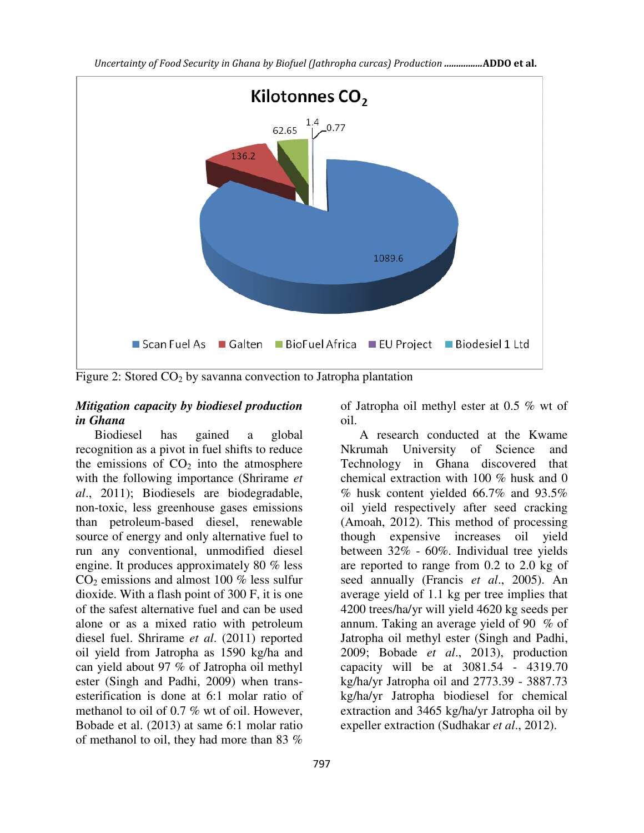

Figure 2: Stored  $CO<sub>2</sub>$  by savanna convection to Jatropha plantation

## *Mitigation capacity by biodiesel production in Ghana*

Biodiesel has gained a global recognition as a pivot in fuel shifts to reduce the emissions of  $CO<sub>2</sub>$  into the atmosphere with the following importance (Shrirame *et al*., 2011); Biodiesels are biodegradable, non-toxic, less greenhouse gases emissions than petroleum-based diesel, renewable source of energy and only alternative fuel to run any conventional, unmodified diesel engine. It produces approximately 80 % less  $CO<sub>2</sub>$  emissions and almost 100 % less sulfur dioxide. With a flash point of 300 F, it is one of the safest alternative fuel and can be used alone or as a mixed ratio with petroleum diesel fuel. Shrirame *et al*. (2011) reported oil yield from Jatropha as 1590 kg/ha and can yield about 97 % of Jatropha oil methyl ester (Singh and Padhi, 2009) when transesterification is done at 6:1 molar ratio of methanol to oil of 0.7 % wt of oil. However, Bobade et al. (2013) at same 6:1 molar ratio of methanol to oil, they had more than 83 %

of Jatropha oil methyl ester at 0.5 % wt of oil.

A research conducted at the Kwame Nkrumah University of Science and Technology in Ghana discovered that chemical extraction with 100 % husk and 0 % husk content yielded 66.7% and 93.5% oil yield respectively after seed cracking (Amoah, 2012). This method of processing though expensive increases oil yield between 32% - 60%. Individual tree yields are reported to range from 0.2 to 2.0 kg of seed annually (Francis *et al*., 2005). An average yield of 1.1 kg per tree implies that 4200 trees/ha/yr will yield 4620 kg seeds per annum. Taking an average yield of 90 % of Jatropha oil methyl ester (Singh and Padhi, 2009; Bobade *et al*., 2013), production capacity will be at 3081.54 - 4319.70 kg/ha/yr Jatropha oil and 2773.39 - 3887.73 kg/ha/yr Jatropha biodiesel for chemical extraction and 3465 kg/ha/yr Jatropha oil by expeller extraction (Sudhakar *et al*., 2012).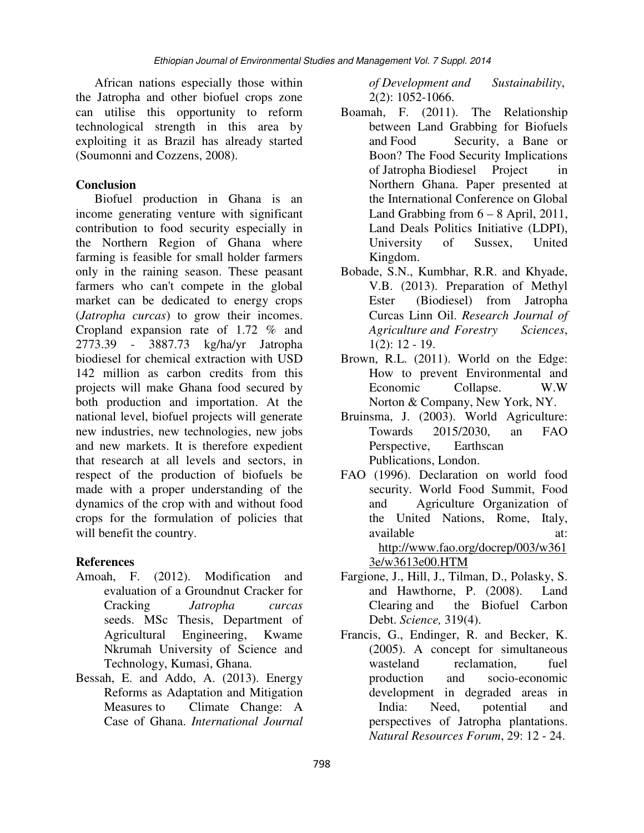African nations especially those within the Jatropha and other biofuel crops zone can utilise this opportunity to reform technological strength in this area by exploiting it as Brazil has already started (Soumonni and Cozzens, 2008).

# **Conclusion**

Biofuel production in Ghana is an income generating venture with significant contribution to food security especially in the Northern Region of Ghana where farming is feasible for small holder farmers only in the raining season. These peasant farmers who can't compete in the global market can be dedicated to energy crops (*Jatropha curcas*) to grow their incomes. Cropland expansion rate of 1.72 % and 2773.39 - 3887.73 kg/ha/yr Jatropha 2773.39 - 3887.73 kg/ha/yr Jatropha biodiesel for chemical extraction with USD 142 million as carbon credits from this projects will make Ghana food secured by both production and importation. At the national level, biofuel projects will generate new industries, new technologies, new jobs and new markets. It is therefore expedient that research at all levels and sectors, in respect of the production of biofuels be made with a proper understanding of the dynamics of the crop with and without food crops for the formulation of policies that will benefit the country.

# **References**

- Amoah, F. (2012). Modification and evaluation of a Groundnut Cracker for Cracking *Jatropha curcas* seeds. MSc Thesis, Department of Agricultural Engineering, Kwame Nkrumah University of Science and Technology, Kumasi, Ghana.
- Bessah, E. and Addo, A. (2013). Energy Reforms as Adaptation and Mitigation Measures to Climate Change: A Case of Ghana. *International Journal*

*of Development and Sustainability*, 2(2): 1052-1066.

- Boamah, F. (2011). The Relationship between Land Grabbing for Biofuels and Food Security, a Bane or Boon? The Food Security Implications of Jatropha Biodiesel Project in Northern Ghana. Paper presented at the International Conference on Global Land Grabbing from  $6 - 8$  April, 2011, Land Deals Politics Initiative (LDPI), University of Sussex, United Kingdom.
- Bobade, S.N., Kumbhar, R.R. and Khyade, V.B. (2013). Preparation of Methyl Ester (Biodiesel) from Jatropha Curcas Linn Oil. *Research Journal of Agriculture and Forestry Sciences*, 1(2): 12 - 19.
- Brown, R.L. (2011). World on the Edge: How to prevent Environmental and Economic Collapse. W.W Norton & Company, New York, NY.
- Bruinsma, J. (2003). World Agriculture: Towards 2015/2030, an FAO Perspective, Earthscan Publications, London.
- FAO (1996). Declaration on world food security. World Food Summit, Food and Agriculture Organization of the United Nations, Rome, Italy, available at: http://www.fao.org/docrep/003/w361 3e/w3613e00.HTM
- Fargione, J., Hill, J., Tilman, D., Polasky, S. and Hawthorne, P. (2008). Land Clearing and the Biofuel Carbon Debt. *Science,* 319(4).
- Francis, G., Endinger, R. and Becker, K. (2005). A concept for simultaneous wasteland reclamation, fuel production and socio-economic development in degraded areas in India: Need, potential and perspectives of Jatropha plantations. *Natural Resources Forum*, 29: 12 - 24.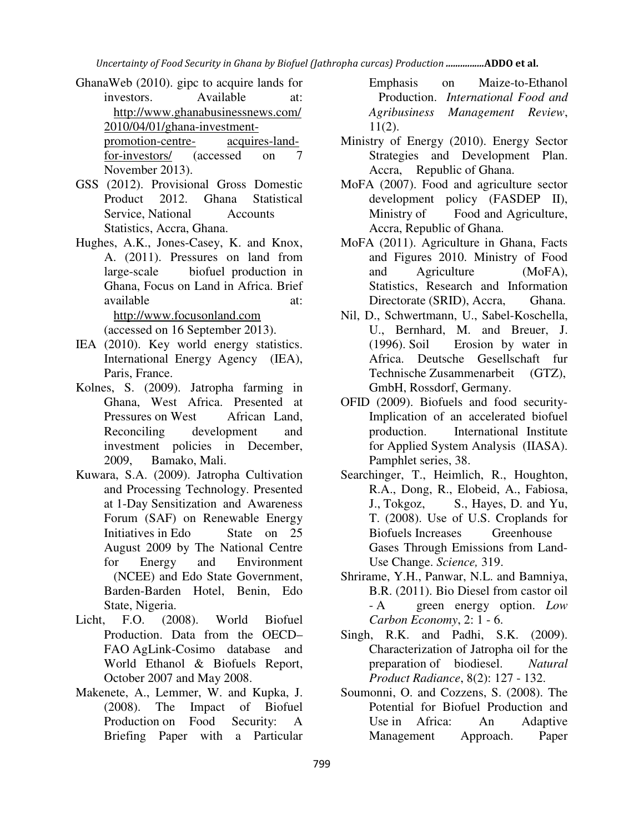*Uncertainty of Food Security in Ghana by Biofuel (Jathropha curcas) Production ................ADDO et al.* 

- GhanaWeb (2010). gipc to acquire lands for investors. Available at: http://www.ghanabusinessnews.com/ 2010/04/01/ghana-investmentpromotion-centre- acquires-landfor-investors/ (accessed on 7 November 2013).
- GSS (2012). Provisional Gross Domestic Product 2012. Ghana Statistical Service, National Accounts Statistics, Accra, Ghana.
- Hughes, A.K., Jones-Casey, K. and Knox, A. (2011). Pressures on land from large-scale biofuel production in Ghana, Focus on Land in Africa. Brief available at: at: http://www.focusonland.com (accessed on 16 September 2013).
- IEA (2010). Key world energy statistics. International Energy Agency (IEA), Paris, France.
- Kolnes, S. (2009). Jatropha farming in Ghana, West Africa. Presented at Pressures on West African Land, Reconciling development and investment policies in December, 2009, Bamako, Mali.
- Kuwara, S.A. (2009). Jatropha Cultivation and Processing Technology. Presented at 1-Day Sensitization and Awareness Forum (SAF) on Renewable Energy Initiatives in Edo State on 25 August 2009 by The National Centre for Energy and Environment (NCEE) and Edo State Government, Barden-Barden Hotel, Benin, Edo State, Nigeria.
- Licht, F.O. (2008). World Biofuel Production. Data from the OECD– FAO AgLink-Cosimo database and World Ethanol & Biofuels Report, October 2007 and May 2008.
- Makenete, A., Lemmer, W. and Kupka, J. (2008). The Impact of Biofuel Production on Food Security: A Briefing Paper with a Particular

Emphasis on Maize-to-Ethanol Production. *International Food and Agribusiness Management Review*, 11(2).

- Ministry of Energy (2010). Energy Sector Strategies and Development Plan. Accra, Republic of Ghana.
- MoFA (2007). Food and agriculture sector development policy (FASDEP II), Ministry of Food and Agriculture, Accra, Republic of Ghana.
- MoFA (2011). Agriculture in Ghana, Facts and Figures 2010. Ministry of Food and Agriculture (MoFA), Statistics, Research and Information Directorate (SRID), Accra, Ghana.
- Nil, D., Schwertmann, U., Sabel-Koschella, U., Bernhard, M. and Breuer, J. (1996). Soil Erosion by water in Africa. Deutsche Gesellschaft fur Technische Zusammenarbeit (GTZ), GmbH, Rossdorf, Germany.
- OFID (2009). Biofuels and food security-Implication of an accelerated biofuel production. International Institute for Applied System Analysis (IIASA). Pamphlet series, 38.
- Searchinger, T., Heimlich, R., Houghton, R.A., Dong, R., Elobeid, A., Fabiosa, J., Tokgoz, S., Hayes, D. and Yu, T. (2008). Use of U.S. Croplands for Biofuels Increases Greenhouse Gases Through Emissions from Land-Use Change. *Science,* 319.
- Shrirame, Y.H., Panwar, N.L. and Bamniya, B.R. (2011). Bio Diesel from castor oil - A green energy option. *Low Carbon Economy*, 2: 1 - 6.
- Singh, R.K. and Padhi, S.K. (2009). Characterization of Jatropha oil for the preparation of biodiesel. *Natural Product Radiance*, 8(2): 127 - 132.
- Soumonni, O. and Cozzens, S. (2008). The Potential for Biofuel Production and Use in Africa: An Adaptive Management Approach. Paper